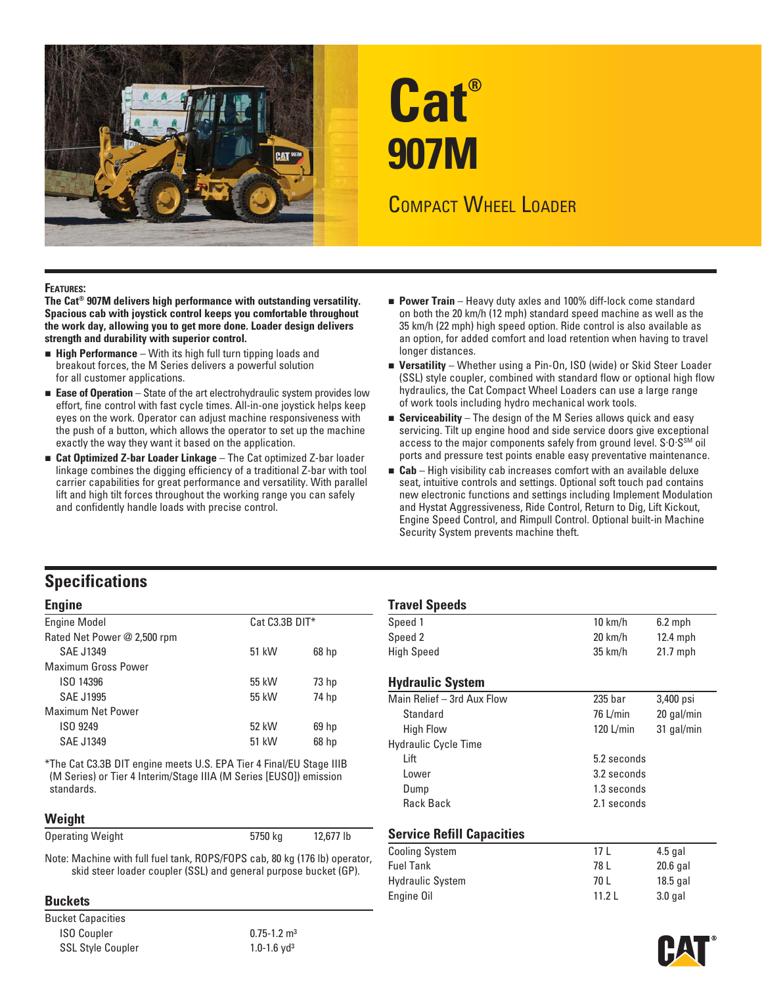

# **Cat® 907M**

# COMPACT WHEEL LOADER

#### **FEATURES:**

**The Cat® 907M delivers high performance with outstanding versatility. Spacious cab with joystick control keeps you comfortable throughout the work day, allowing you to get more done. Loader design delivers strength and durability with superior control.** 

- **High Performance** With its high full turn tipping loads and breakout forces, the M Series delivers a powerful solution for all customer applications.
- **Ease of Operation** State of the art electrohydraulic system provides low effort, fine control with fast cycle times. All-in-one joystick helps keep eyes on the work. Operator can adjust machine responsiveness with the push of a button, which allows the operator to set up the machine exactly the way they want it based on the application.
- **Cat Optimized Z-bar Loader Linkage** The Cat optimized Z-bar loader linkage combines the digging efficiency of a traditional Z-bar with tool carrier capabilities for great performance and versatility. With parallel lift and high tilt forces throughout the working range you can safely and confidently handle loads with precise control.
- **Power Train** Heavy duty axles and 100% diff-lock come standard on both the 20 km/h (12 mph) standard speed machine as well as the 35 km/h (22 mph) high speed option. Ride control is also available as an option, for added comfort and load retention when having to travel longer distances.
- **Versatility** Whether using a Pin-On, ISO (wide) or Skid Steer Loader (SSL) style coupler, combined with standard flow or optional high flow hydraulics, the Cat Compact Wheel Loaders can use a large range of work tools including hydro mechanical work tools.
- **Serviceability** The design of the M Series allows quick and easy servicing. Tilt up engine hood and side service doors give exceptional access to the major components safely from ground level. S.O.S<sup>SM</sup> oil ports and pressure test points enable easy preventative maintenance.
- **Cab** High visibility cab increases comfort with an available deluxe seat, intuitive controls and settings. Optional soft touch pad contains new electronic functions and settings including Implement Modulation and Hystat Aggressiveness, Ride Control, Return to Dig, Lift Kickout, Engine Speed Control, and Rimpull Control. Optional built-in Machine Security System prevents machine theft.

## **Specifications**

| <b>Engine Model</b>         | $Cat C3.3B DIT*$ |                  | Speed 1                     | $10 \text{ km/h}$  | $6.2$ mph  |  |
|-----------------------------|------------------|------------------|-----------------------------|--------------------|------------|--|
| Rated Net Power @ 2,500 rpm |                  |                  | Speed 2                     | $20 \text{ km/h}$  | $12.4$ mph |  |
| SAE J1349                   | 51 kW            | 68 <sub>hp</sub> | <b>High Speed</b>           | $35 \text{ km/h}$  | $21.7$ mph |  |
| <b>Maximum Gross Power</b>  |                  |                  |                             |                    |            |  |
| ISO 14396                   | 55 kW            | 73 hp            | <b>Hydraulic System</b>     |                    |            |  |
| <b>SAE J1995</b>            | 55 kW            | 74 hp            | Main Relief - 3rd Aux Flow  | 235 <sub>bar</sub> | 3,400 psi  |  |
| <b>Maximum Net Power</b>    |                  |                  | Standard                    | $76$ L/min         | 20 gal/mi  |  |
| ISO 9249                    | 52 kW            | 69 <sub>h</sub>  | <b>High Flow</b>            | $120$ L/min        | 31 gal/mi  |  |
| <b>SAE J1349</b>            | 51 kW            | 68 <sub>hp</sub> | <b>Hydraulic Cycle Time</b> |                    |            |  |
|                             |                  |                  |                             |                    |            |  |

\*The Cat C3.3B DIT engine meets U.S. EPA Tier 4 Final/EU Stage IIIB (M Series) or Tier 4 Interim/Stage IIIA (M Series [EUSO]) emission standards. standards. Dump 1.3 seconds

#### **Weight**

| <b>Operating Weight</b> | 5750 kg | 12,677 lb |
|-------------------------|---------|-----------|
|-------------------------|---------|-----------|

Bucket Capacities ISO Coupler 0.75-1.2 m<sup>3</sup> SSL Style Coupler 1.0-1.6 yd<sup>3</sup>

| <b>Engine</b>                                                       |                |                  | <b>Travel Speeds</b>        |                    |            |  |  |
|---------------------------------------------------------------------|----------------|------------------|-----------------------------|--------------------|------------|--|--|
| <b>Engine Model</b>                                                 | Cat C3.3B DIT* |                  | Speed 1                     | $10 \text{ km/h}$  | $6.2$ mph  |  |  |
| Rated Net Power @ 2,500 rpm                                         |                |                  | Speed 2                     | $20 \text{ km/h}$  | $12.4$ mph |  |  |
| SAE J1349                                                           | 51 kW          | 68 <sub>hp</sub> | <b>High Speed</b>           | $35 \text{ km/h}$  | $21.7$ mph |  |  |
| Maximum Gross Power                                                 |                |                  |                             |                    |            |  |  |
| ISO 14396                                                           | 55 kW          | 73 <sub>hp</sub> | <b>Hydraulic System</b>     |                    |            |  |  |
| <b>SAE J1995</b>                                                    | 55 kW          | 74 hp            | Main Relief - 3rd Aux Flow  | 235 <sub>bar</sub> | 3,400 psi  |  |  |
| Maximum Net Power                                                   |                |                  | Standard                    | 76 L/min           | 20 gal/min |  |  |
| ISO 9249                                                            | 52 kW          | 69 <sub>hp</sub> | <b>High Flow</b>            | $120$ L/min        | 31 gal/min |  |  |
| SAE J1349                                                           | 51 kW          | 68 <sub>hp</sub> | <b>Hydraulic Cycle Time</b> |                    |            |  |  |
| *The Cat C3.3B DIT engine meets U.S. EPA Tier 4 Final/EU Stage IIIB |                |                  | Lift                        | 5.2 seconds        |            |  |  |
| (M Series) or Tier 4 Interim/Stage IIIA (M Series [EUSO]) emission  |                | Lower            | 3.2 seconds                 |                    |            |  |  |
| standards                                                           |                |                  | Dumn                        | 1.3 seconds        |            |  |  |

#### **Service Refill Capacities**

| Note: Machine with full fuel tank, ROPS/FOPS cab, 80 kg (176 lb) operator, | <b>Cooling System</b>   |       | $4.5$ gal  |
|----------------------------------------------------------------------------|-------------------------|-------|------------|
| skid steer loader coupler (SSL) and general purpose bucket (GP).           | <b>Fuel Tank</b>        | 78 L  | $20.6$ gal |
|                                                                            | <b>Hydraulic System</b> | 70 L  | $18.5$ gal |
| <b>Buckets</b>                                                             | Engine Oil              | 11.2L | 3.0 gal    |
|                                                                            |                         |       |            |

Rack Back 2.1 seconds

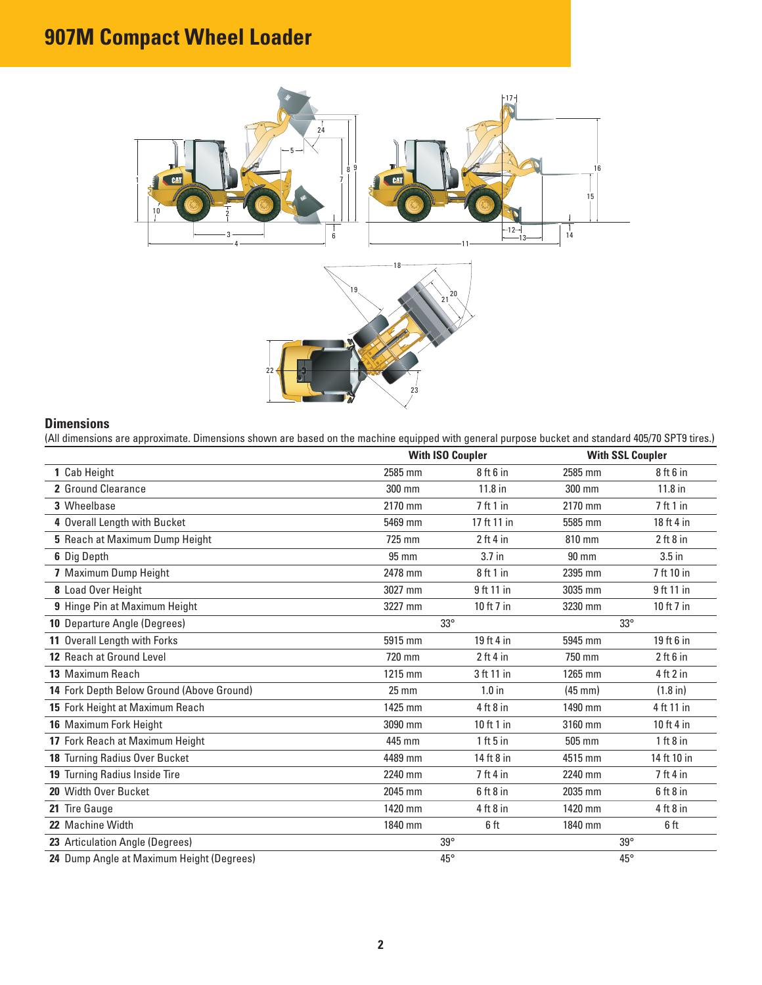# **907M Compact Wheel Loader**



#### **Dimensions**

(All dimensions are approximate. Dimensions shown are based on the machine equipped with general purpose bucket and standard 405/70 SPT9 tires.)

|                                           |                 | <b>With ISO Coupler</b> |                   | <b>With SSL Coupler</b> |
|-------------------------------------------|-----------------|-------------------------|-------------------|-------------------------|
| 1 Cab Height                              | 2585 mm         | $8$ ft $6$ in           | 2585 mm           | $8$ ft $6$ in           |
| 2 Ground Clearance                        | 300 mm          | 11.8 in                 | 300 mm            | $11.8$ in               |
| 3 Wheelbase                               | 2170 mm         | 7ft1in                  | 2170 mm           | 7ft1in                  |
| 4 Overall Length with Bucket              | 5469 mm         | 17 ft 11 in             | 5585 mm           | 18 ft 4 in              |
| 5 Reach at Maximum Dump Height            | 725 mm          | $2$ ft 4 in             | 810 mm            | 2 ft 8 in               |
| 6 Dig Depth                               | 95 mm           | 3.7 in                  | 90 mm             | $3.5$ in                |
| 7 Maximum Dump Height                     | 2478 mm         | 8ft1in                  | 2395 mm           | 7 ft 10 in              |
| 8 Load Over Height                        | 3027 mm         | 9 ft 11 in              | 3035 mm           | 9 ft 11 in              |
| 9 Hinge Pin at Maximum Height             | 3227 mm         | 10 ft 7 in              | 3230 mm           | 10 ft 7 in              |
| 10 Departure Angle (Degrees)              | $33^\circ$      |                         | $33^\circ$        |                         |
| 11 Overall Length with Forks              | 5915 mm         | 19 ft 4 in              | 5945 mm           | $19$ ft 6 in            |
| 12 Reach at Ground Level                  | 720 mm          | $2$ ft 4 in             | 750 mm            | 2 ft 6 in               |
| 13 Maximum Reach                          | 1215 mm         | 3 ft 11 in              | 1265 mm           | 4 ft 2 in               |
| 14 Fork Depth Below Ground (Above Ground) | $25 \text{ mm}$ | $1.0$ in                | $(45 \text{ mm})$ | $(1.8 \text{ in})$      |
| 15 Fork Height at Maximum Reach           | 1425 mm         | $4$ ft $8$ in           | 1490 mm           | 4 ft 11 in              |
| 16 Maximum Fork Height                    | 3090 mm         | $10$ ft 1 in            | 3160 mm           | 10 ft 4 in              |
| 17 Fork Reach at Maximum Height           | 445 mm          | 1 ft 5 in               | 505 mm            | 1 ft 8 in               |
| 18 Turning Radius Over Bucket             | 4489 mm         | 14 ft 8 in              | 4515 mm           | 14 ft 10 in             |
| 19 Turning Radius Inside Tire             | 2240 mm         | 7 ft 4 in               | 2240 mm           | $7$ ft 4 in             |
| 20 Width Over Bucket                      | 2045 mm         | $6$ ft $8$ in           | 2035 mm           | $6$ ft $8$ in           |
| 21 Tire Gauge                             | 1420 mm         | $4$ ft $8$ in           | 1420 mm           | $4$ ft $8$ in           |
| 22 Machine Width                          | 1840 mm         | 6 ft                    | 1840 mm           | 6 ft                    |
| 23 Articulation Angle (Degrees)           |                 | $39^\circ$              | $39^\circ$        |                         |
| 24 Dump Angle at Maximum Height (Degrees) |                 | $45^{\circ}$            | $45^\circ$        |                         |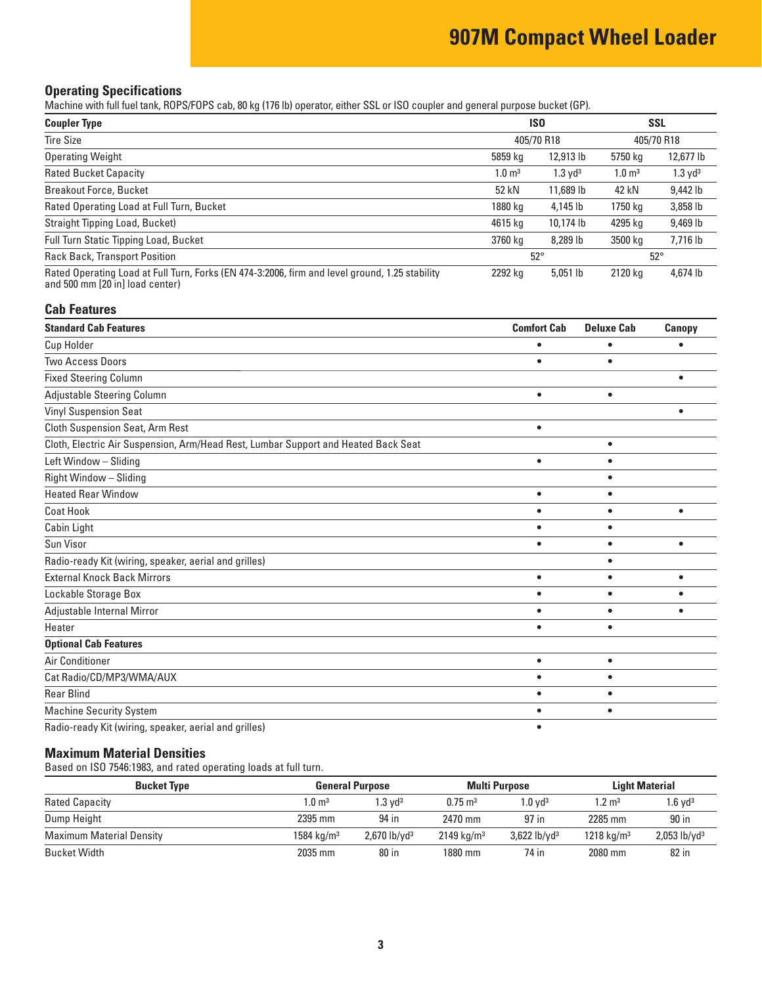# **907M Compact Wheel Loader**

#### **Operating Specifications**

Machine with full fuel tank, ROPS/FOPS cab, 80 kg (176 lb) operator, either SSL or ISO coupler and general purpose bucket (GP).

| <b>ISO</b><br><b>Coupler Type</b>                                                                                                 |                       |                       | <b>SSL</b>            |                    |
|-----------------------------------------------------------------------------------------------------------------------------------|-----------------------|-----------------------|-----------------------|--------------------|
| <b>Tire Size</b>                                                                                                                  |                       | 405/70 R18            |                       | 405/70 R18         |
| <b>Operating Weight</b>                                                                                                           | 5859 kg               | 12,913 lb             | 5750 kg               | 12,677 lb          |
| <b>Rated Bucket Capacity</b>                                                                                                      | $1.0 \; \mathrm{m}^3$ | $1.3$ yd <sup>3</sup> | $1.0 \; \mathrm{m}^3$ | $1.3 \text{ yd}^3$ |
| <b>Breakout Force, Bucket</b>                                                                                                     | 52 kN                 | 11,689 lb             | 42 kN                 | 9,442 lb           |
| Rated Operating Load at Full Turn, Bucket                                                                                         | 1880 kg               | 4,145 lb              | 1750 kg               | 3,858 lb           |
| Straight Tipping Load, Bucket)                                                                                                    | 4615 kg               | 10,174 lb             | 4295 kg               | 9,469 lb           |
| Full Turn Static Tipping Load, Bucket                                                                                             | 3760 kg               | 8,289 lb              | 3500 kg               | 7,716 lb           |
| <b>Rack Back, Transport Position</b>                                                                                              | $52^\circ$            |                       |                       | $52^\circ$         |
| Rated Operating Load at Full Turn, Forks (EN 474-3:2006, firm and level ground, 1.25 stability<br>and 500 mm [20 in] load center) | 2292 kg               | $5,051$ lb            | 2120 kg               | 4,674 lb           |

#### **Cab Features**

| <b>Standard Cab Features</b>                                                       | <b>Comfort Cab</b> | <b>Deluxe Cab</b> | Canopy    |
|------------------------------------------------------------------------------------|--------------------|-------------------|-----------|
| Cup Holder                                                                         |                    |                   |           |
| <b>Two Access Doors</b>                                                            | $\bullet$          | ٠                 |           |
| <b>Fixed Steering Column</b>                                                       |                    |                   | ٠         |
| Adjustable Steering Column                                                         | $\bullet$          | $\bullet$         |           |
| <b>Vinyl Suspension Seat</b>                                                       |                    |                   |           |
| <b>Cloth Suspension Seat, Arm Rest</b>                                             | $\bullet$          |                   |           |
| Cloth, Electric Air Suspension, Arm/Head Rest, Lumbar Support and Heated Back Seat |                    | $\bullet$         |           |
| Left Window - Sliding                                                              | $\bullet$          | $\bullet$         |           |
| Right Window - Sliding                                                             |                    | $\bullet$         |           |
| <b>Heated Rear Window</b>                                                          | $\bullet$          | $\bullet$         |           |
| <b>Coat Hook</b>                                                                   |                    | ٠                 | ٠         |
| Cabin Light                                                                        | ٠                  | $\bullet$         |           |
| Sun Visor                                                                          | $\bullet$          | $\bullet$         | ٠         |
| Radio-ready Kit (wiring, speaker, aerial and grilles)                              |                    | $\bullet$         |           |
| <b>External Knock Back Mirrors</b>                                                 | $\bullet$          | $\bullet$         | $\bullet$ |
| Lockable Storage Box                                                               | $\bullet$          | $\bullet$         |           |
| Adjustable Internal Mirror                                                         | $\bullet$          | $\bullet$         |           |
| Heater                                                                             | $\bullet$          | $\bullet$         |           |
| <b>Optional Cab Features</b>                                                       |                    |                   |           |
| Air Conditioner                                                                    | $\bullet$          | $\bullet$         |           |
| Cat Radio/CD/MP3/WMA/AUX                                                           | $\bullet$          | ٠                 |           |
| <b>Rear Blind</b>                                                                  |                    |                   |           |
| <b>Machine Security System</b>                                                     |                    | ٠                 |           |
| Radio-ready Kit (wiring, speaker, aerial and grilles)                              |                    |                   |           |

#### **Maximum Material Densities**

Based on ISO 7546:1983, and rated operating loads at full turn.

| <b>Bucket Type</b>              |                        | <b>General Purpose</b>     |                       | Multi Purpose              |                       | <b>Light Material</b>      |  |
|---------------------------------|------------------------|----------------------------|-----------------------|----------------------------|-----------------------|----------------------------|--|
| <b>Rated Capacity</b>           | $1.0 \; \mathrm{m}^3$  | l.3 vd <sup>3</sup>        | $0.75 \text{ m}^3$    | $1.0 \text{ vd}^3$         | $1.2 \text{ m}^3$     | $1.6$ vd $3$               |  |
| Dump Height                     | 2395 mm                | 94 in                      | 2470 mm               | 97 in                      | 2285 mm               | 90 in                      |  |
| <b>Maximum Material Density</b> | 1584 kg/m <sup>3</sup> | $2,670$ lb/yd <sup>3</sup> | $2149 \text{ kg/m}^3$ | $3,622$ lb/yd <sup>3</sup> | $1218 \text{ kg/m}^3$ | $2,053$ lb/yd <sup>3</sup> |  |
| Bucket Width                    | 2035 mm                | 80 in                      | 1880 mm               | 74 in                      | 2080 mm               | 82 in                      |  |